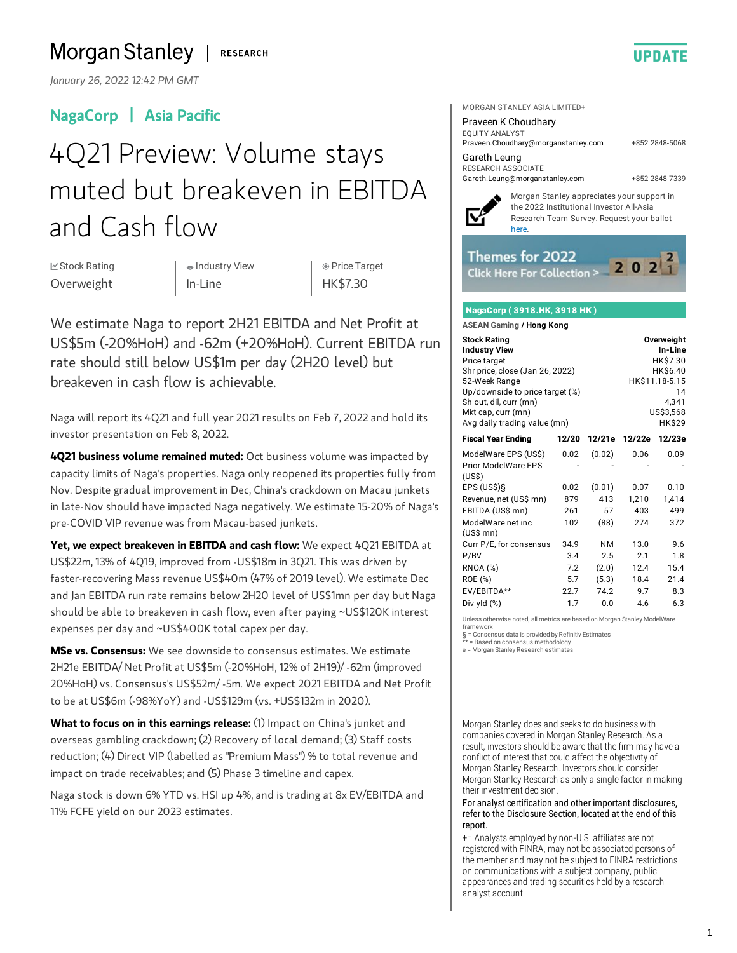#### Morgan Stanley | **RESEARCH**

*January 26, 2022 12:42 PM GMT*

## NagaCorp | Asia Pacific

# 4Q21 Preview: Volume stays muted but breakeven in EBITDA and Cash flow

 $\mathbb Z$  Stock Rating Overweight

 $\bullet$  Industry View In-Line

Price Target HK\$7.30

We estimate Naga to report 2H21 EBITDA and Net Profit at US\$5m (-20%HoH) and -62m (+20%HoH). Current EBITDA run rate should still below US\$1m per day (2H20 level) but breakeven in cash flow is achievable.

Naga will report its 4Q21 and full year 2021 results on Feb 7,2022and hold its investor presentation on Feb 8,2022.

4Q21 business volume remained muted: Oct business volume was impacted by capacity limits of Naga's properties. Naga only reopened its properties fully from Nov. Despite gradual improvement in Dec, China's crackdown on Macau junkets in late-Nov should have impacted Naga negatively. We estimate 15-20% of Naga's pre-COVID VIP revenue was from Macau-based junkets.

**Yet, we expect breakeven in EBITDA and cash flow:** We expect 4Q21 EBITDA at US\$22m, 13% of 4Q19, improved from -US\$18m in 3Q21. This was driven by faster-recovering Mass revenue US\$40m (47% of 2019 level). We estimate Dec and Jan EBITDA run rate remains below 2H20 level of US\$1mn per day but Naga should be able to breakeven in cash flow, even after paying ~US\$120K interest expenses per day and ~US\$400K total capex per day.

**MSe vs. Consensus:** We see downside to consensus estimates. We estimate 2H21e EBITDA/ Net Profit at US\$5m (-20%HoH, 12% of 2H19)/ -62m (improved 20%HoH) vs. Consensus's US\$52m/ -5m. We expect 2021 EBITDA and Net Profit to be at US\$6m (-98%YoY) and -US\$129m (vs. +US\$132m in 2020).

**What to focus on in this earnings release:** (1) Impact on China's junket and overseas gambling crackdown; (2) Recovery of local demand; (3) Staff costs reduction; (4) Direct VIP (labelled as "Premium Mass") % to total revenue and impact on trade receivables; and (5) Phase 3 timeline and capex.

Naga stock is down 6% YTD vs. HSI up 4%, and is trading at 8x EV/EBITDA and 11% FCFE yield on our 2023 estimates.

MORGAN STANLEY ASIA LIMITED+

[Praveen.Choudhary@morganstanley.com](mailto:Praveen.Choudhary@morganstanley.com) Praveen K Choudhary EQUITY ANALYST

+852 2848-5068

+852 2848-7339

[Gareth.Leung@morganstanley.com](mailto:Gareth.Leung@morganstanley.com) Gareth Leung RESEARCH ASSOCIATE



Morgan Stanley appreciates your support in the 2022 Institutional Investor All-Asia Research Team Survey. Request your ballot [here](https://voting.institutionalinvestor.com/welcome)[.](https://ny.matrix.ms.com/eqr/research/ui/#/collection/c04c951d-e732-4974-b975-583882920b36/content?isTheme=false)

Themes for 2022 Click Here For Collection >

NagaCorp ( 3918.HK, 3918 HK )

 $202$ 

| <b>ASEAN Gaming / Hong Kong</b>                                                                                                                                                                                                    |       |                                                                                                              |        |        |  |  |  |
|------------------------------------------------------------------------------------------------------------------------------------------------------------------------------------------------------------------------------------|-------|--------------------------------------------------------------------------------------------------------------|--------|--------|--|--|--|
| <b>Stock Rating</b><br><b>Industry View</b><br>Price target<br>Shr price, close (Jan 26, 2022)<br>52-Week Range<br>Up/downside to price target (%)<br>Sh out, dil, curr (mn)<br>Mkt cap, curr (mn)<br>Avg daily trading value (mn) |       | Overweight<br>In-Line<br>HK\$7.30<br>HK\$6.40<br>HK\$11.18-5.15<br>14<br>4.341<br>US\$3,568<br><b>HK\$29</b> |        |        |  |  |  |
| <b>Fiscal Year Ending</b>                                                                                                                                                                                                          | 12/20 | 12/21e                                                                                                       | 12/22e | 12/23e |  |  |  |
| ModelWare EPS (US\$)                                                                                                                                                                                                               | 0.02  | (0.02)                                                                                                       | 0.06   | 0.09   |  |  |  |
| <b>Prior ModelWare EPS</b><br>(USS)                                                                                                                                                                                                |       |                                                                                                              |        |        |  |  |  |
| EPS (US\$)§                                                                                                                                                                                                                        | 0.02  | (0.01)                                                                                                       | 0.07   | 0.10   |  |  |  |
| Revenue, net (US\$ mn)                                                                                                                                                                                                             | 879   | 413                                                                                                          | 1,210  | 1,414  |  |  |  |
| EBITDA (US\$ mn)                                                                                                                                                                                                                   | 261   | 57                                                                                                           | 403    | 499    |  |  |  |
| ModelWare net inc.<br>$(US$$ mn $)$                                                                                                                                                                                                | 102   | (88)                                                                                                         | 274    | 372    |  |  |  |
| Curr P/E, for consensus                                                                                                                                                                                                            | 34.9  | <b>NM</b>                                                                                                    | 13.0   | 9.6    |  |  |  |
| P/BV                                                                                                                                                                                                                               | 3.4   | 2.5                                                                                                          | 2.1    | 1.8    |  |  |  |
| <b>RNOA</b> (%)                                                                                                                                                                                                                    | 7.2   | (2.0)                                                                                                        | 12.4   | 15.4   |  |  |  |
| ROE (%)                                                                                                                                                                                                                            | 5.7   | (5.3)                                                                                                        | 18.4   | 21.4   |  |  |  |
| EV/EBITDA**                                                                                                                                                                                                                        | 22.7  | 74.2                                                                                                         | 9.7    | 8.3    |  |  |  |
| Div yld (%)                                                                                                                                                                                                                        | 1.7   | 0.0                                                                                                          | 4.6    | 6.3    |  |  |  |

Unless otherwise noted, all metrics are based on Morgan Stanley ModelWare

framework § = Consensus data is provided by Refinitiv Estimates

\*\* = Based on consensus methodology

e = Morgan Stanley Research estimates

Morgan Stanley does and seeks to do business with companies covered in Morgan Stanley Research. As a result, investors should be aware that the firm may have a conflict of interest that could affect the objectivity of Morgan Stanley Research. Investors should consider Morgan Stanley Research as only a single factor in making their investment decision.

For analyst certification and other important disclosures, refer to the Disclosure Section, located at the end of this report.

+= Analysts employed by non-U.S. affiliates are not registered with FINRA, may not be associated persons of the member and may not be subject to FINRA restrictions on communications with a subject company, public appearances and trading securities held by a research analyst account.

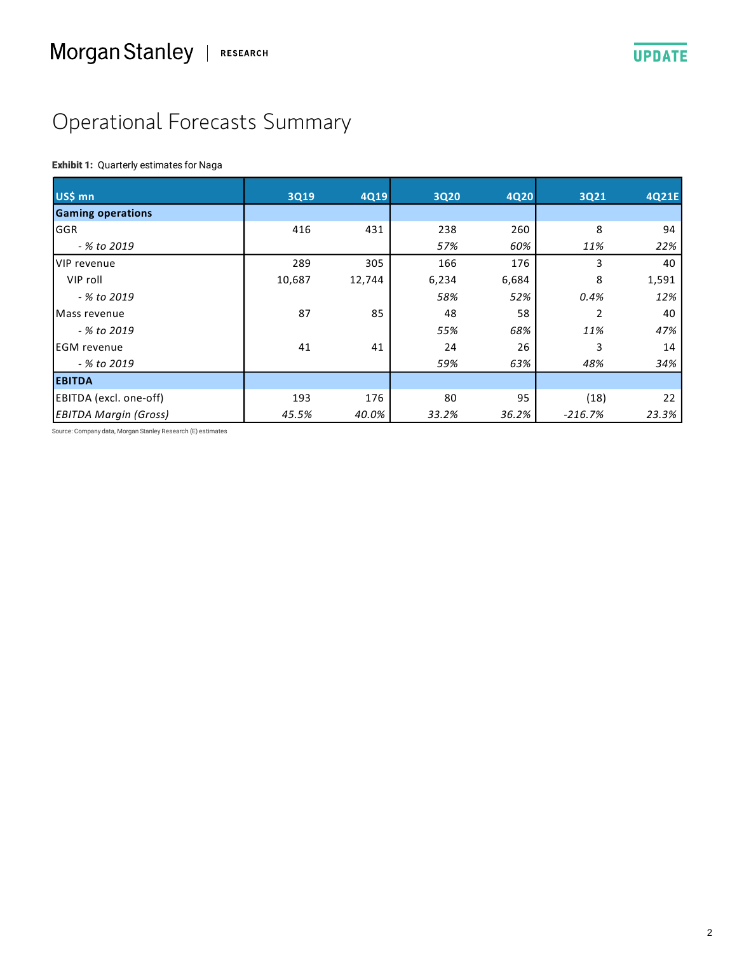# Operational Forecasts Summary

## Exhibit 1: Quarterly estimates for Naga

| US\$ mn                      | 3Q19   | <b>4Q19</b> | <b>3Q20</b> | <b>4Q20</b> | 3Q21           | 4Q21E |
|------------------------------|--------|-------------|-------------|-------------|----------------|-------|
| <b>Gaming operations</b>     |        |             |             |             |                |       |
| GGR                          | 416    | 431         | 238         | 260         | 8              | 94    |
| - % to 2019                  |        |             | 57%         | 60%         | 11%            | 22%   |
| VIP revenue                  | 289    | 305         | 166         | 176         | 3              | 40    |
| VIP roll                     | 10,687 | 12,744      | 6,234       | 6,684       | 8              | 1,591 |
| - % to 2019                  |        |             | 58%         | 52%         | 0.4%           | 12%   |
| Mass revenue                 | 87     | 85          | 48          | 58          | $\overline{2}$ | 40    |
| - % to 2019                  |        |             | 55%         | 68%         | 11%            | 47%   |
| <b>EGM</b> revenue           | 41     | 41          | 24          | 26          | 3              | 14    |
| - % to 2019                  |        |             | 59%         | 63%         | 48%            | 34%   |
| <b>EBITDA</b>                |        |             |             |             |                |       |
| EBITDA (excl. one-off)       | 193    | 176         | 80          | 95          | (18)           | 22    |
| <b>EBITDA Margin (Gross)</b> | 45.5%  | 40.0%       | 33.2%       | 36.2%       | $-216.7%$      | 23.3% |

Source: Company data, Morgan Stanley Research (E) estimates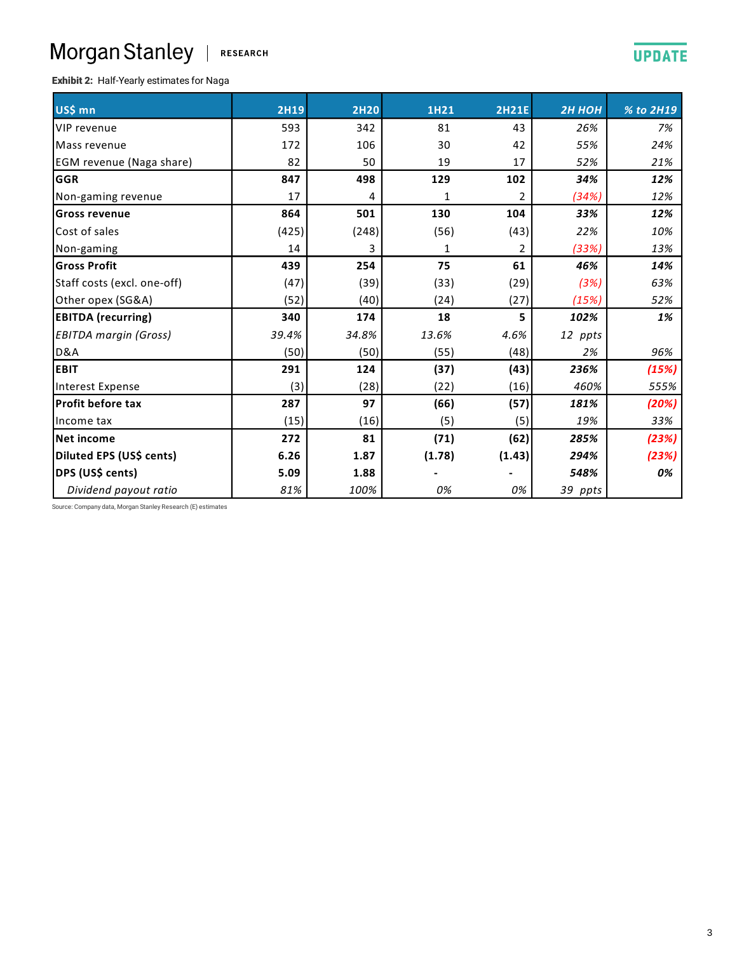# Morgan Stanley | RESEARCH

Exhibit 2: Half-Yearly estimates for Naga



| US\$ mn                      | <b>2H19</b> | <b>2H20</b> | 1H21   | <b>2H21E</b> | <b>2H HOH</b> | % to 2H19 |
|------------------------------|-------------|-------------|--------|--------------|---------------|-----------|
| VIP revenue                  | 593         | 342         | 81     | 43           | 26%           | 7%        |
| Mass revenue                 | 172         | 106         | 30     | 42           | 55%           | 24%       |
| EGM revenue (Naga share)     | 82          | 50          | 19     | 17           | 52%           | 21%       |
| <b>GGR</b>                   | 847         | 498         | 129    | 102          | 34%           | 12%       |
| Non-gaming revenue           | 17          | 4           | 1      | 2            | (34%)         | 12%       |
| <b>Gross revenue</b>         | 864         | 501         | 130    | 104          | 33%           | 12%       |
| Cost of sales                | (425)       | (248)       | (56)   | (43)         | 22%           | 10%       |
| Non-gaming                   | 14          | 3           | 1      | 2            | (33%)         | 13%       |
| <b>Gross Profit</b>          | 439         | 254         | 75     | 61           | 46%           | 14%       |
| Staff costs (excl. one-off)  | (47)        | (39)        | (33)   | (29)         | (3%)          | 63%       |
| Other opex (SG&A)            | (52)        | (40)        | (24)   | (27)         | (15%)         | 52%       |
| <b>EBITDA</b> (recurring)    | 340         | 174         | 18     | 5.           | 102%          | 1%        |
| <b>EBITDA margin (Gross)</b> | 39.4%       | 34.8%       | 13.6%  | 4.6%         | 12 ppts       |           |
| D&A                          | (50)        | (50)        | (55)   | (48)         | 2%            | 96%       |
| <b>EBIT</b>                  | 291         | 124         | (37)   | (43)         | 236%          | (15%)     |
| <b>Interest Expense</b>      | (3)         | (28)        | (22)   | (16)         | 460%          | 555%      |
| <b>Profit before tax</b>     | 287         | 97          | (66)   | (57)         | 181%          | (20%)     |
| Income tax                   | (15)        | (16)        | (5)    | (5)          | 19%           | 33%       |
| <b>Net income</b>            | 272         | 81          | (71)   | (62)         | 285%          | (23%)     |
| Diluted EPS (US\$ cents)     | 6.26        | 1.87        | (1.78) | (1.43)       | 294%          | (23%)     |
| DPS (US\$ cents)             | 5.09        | 1.88        |        |              | 548%          | 0%        |
| Dividend payout ratio        | 81%         | 100%        | 0%     | 0%           | 39 ppts       |           |

Source: Company data, Morgan Stanley Research (E) estimates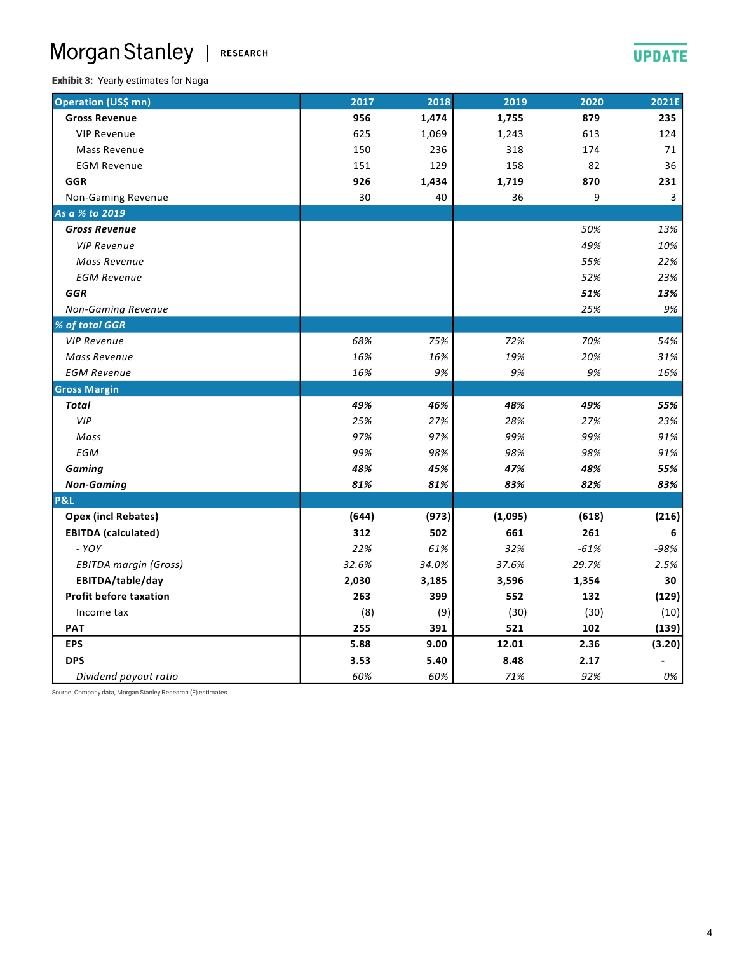# Morgan Stanley | RESEARCH

Exhibit 3: Yearly estimates for Naga



| <b>Operation (US\$ mn)</b>    | 2017  | 2018  | 2019    | 2020   | 2021E  |
|-------------------------------|-------|-------|---------|--------|--------|
| <b>Gross Revenue</b>          | 956   | 1,474 | 1,755   | 879    | 235    |
| <b>VIP Revenue</b>            | 625   | 1,069 | 1,243   | 613    | 124    |
| <b>Mass Revenue</b>           | 150   | 236   | 318     | 174    | 71     |
| <b>EGM Revenue</b>            | 151   | 129   | 158     | 82     | 36     |
| <b>GGR</b>                    | 926   | 1,434 | 1,719   | 870    | 231    |
| Non-Gaming Revenue            | 30    | 40    | 36      | 9      | 3      |
| As a % to 2019                |       |       |         |        |        |
| <b>Gross Revenue</b>          |       |       |         | 50%    | 13%    |
| <b>VIP Revenue</b>            |       |       |         | 49%    | 10%    |
| Mass Revenue                  |       |       |         | 55%    | 22%    |
| <b>EGM Revenue</b>            |       |       |         | 52%    | 23%    |
| GGR                           |       |       |         | 51%    | 13%    |
| Non-Gaming Revenue            |       |       |         | 25%    | 9%     |
| % of total GGR                |       |       |         |        |        |
| <b>VIP Revenue</b>            | 68%   | 75%   | 72%     | 70%    | 54%    |
| Mass Revenue                  | 16%   | 16%   | 19%     | 20%    | 31%    |
| <b>EGM Revenue</b>            | 16%   | 9%    | 9%      | 9%     | 16%    |
| <b>Gross Margin</b>           |       |       |         |        |        |
| <b>Total</b>                  | 49%   | 46%   | 48%     | 49%    | 55%    |
| VIP                           | 25%   | 27%   | 28%     | 27%    | 23%    |
| Mass                          | 97%   | 97%   | 99%     | 99%    | 91%    |
| EGM                           | 99%   | 98%   | 98%     | 98%    | 91%    |
| Gaming                        | 48%   | 45%   | 47%     | 48%    | 55%    |
| <b>Non-Gaming</b>             | 81%   | 81%   | 83%     | 82%    | 83%    |
| <b>P&amp;L</b>                |       |       |         |        |        |
| <b>Opex (incl Rebates)</b>    | (644) | (973) | (1,095) | (618)  | (216)  |
| <b>EBITDA</b> (calculated)    | 312   | 502   | 661     | 261    | 6      |
| $-YOY$                        | 22%   | 61%   | 32%     | $-61%$ | $-98%$ |
| <b>EBITDA margin (Gross)</b>  | 32.6% | 34.0% | 37.6%   | 29.7%  | 2.5%   |
| EBITDA/table/day              | 2,030 | 3,185 | 3,596   | 1,354  | 30     |
| <b>Profit before taxation</b> | 263   | 399   | 552     | 132    | (129)  |
| Income tax                    | (8)   | (9)   | (30)    | (30)   | (10)   |
| PAT                           | 255   | 391   | 521     | 102    | (139)  |
| <b>EPS</b>                    | 5.88  | 9.00  | 12.01   | 2.36   | (3.20) |
| <b>DPS</b>                    | 3.53  | 5.40  | 8.48    | 2.17   |        |
| Dividend payout ratio         | 60%   | 60%   | 71%     | 92%    | 0%     |

Source: Company data, Morgan Stanley Research (E) estimates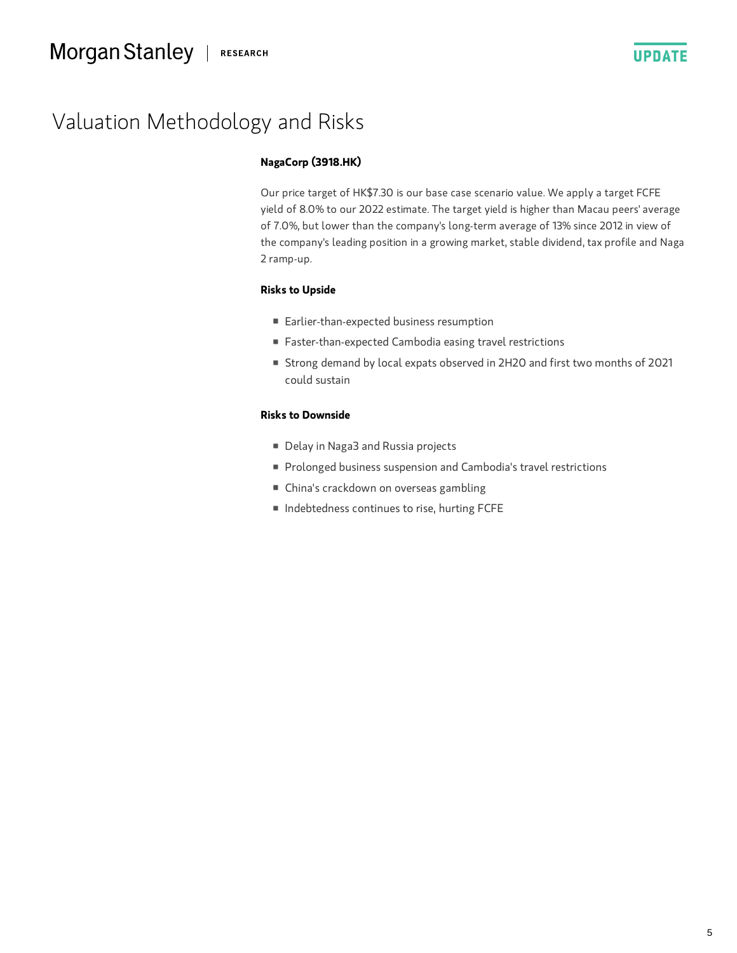

## Valuation Methodology and Risks

## **NagaCorp (3918.HK)**

Our price target of HK\$7.30 is our base case scenario value. We apply a target FCFE yield of 8.0% to our 2022 estimate. The target yield is higher than Macau peers' average of 7.0%, but lower than the company's long-term average of 13% since 2012 in view of the company's leading position in a growing market, stable dividend, tax profile and Naga 2ramp-up.

## **Risks to Upside**

- Earlier-than-expected business resumption
- Faster-than-expected Cambodia easing travel restrictions
- Strong demand by local expats observed in2H20 and first two months of 2021 could sustain

## **Risks to Downside**

- Delay in Naga3 and Russia projects
- Prolonged business suspension and Cambodia's travel restrictions
- China's crackdown on overseas gambling
- Indebtedness continues to rise, hurting FCFE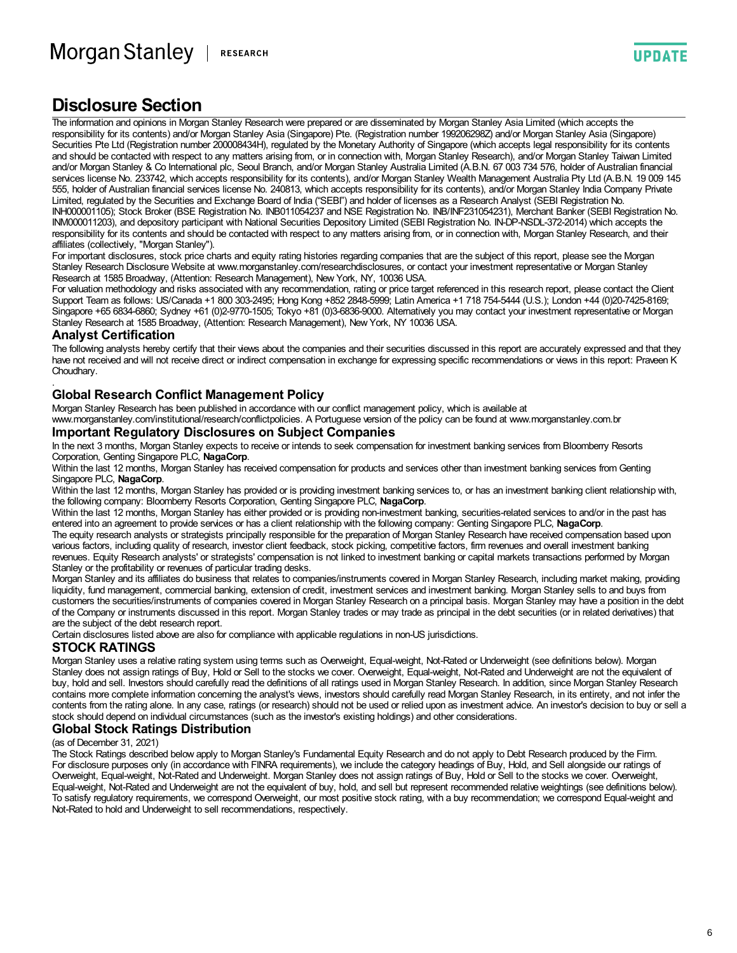**UPDATE** 

## **Disclosure Section**

The information and opinions in Morgan Stanley Research were prepared or are disseminated by Morgan Stanley Asia Limited (which accepts the responsibility for its contents) and/or Morgan Stanley Asia (Singapore) Pte. (Registration number 199206298Z) and/or Morgan Stanley Asia (Singapore) Securities Pte Ltd (Registration number 200008434H), regulated by the Monetary Authority of Singapore (which accepts legal responsibility for its contents and should be contacted with respect to any matters arising from, or in connection with, Morgan Stanley Research), and/or Morgan Stanley Taiwan Limited and/or Morgan Stanley & Co International plc, Seoul Branch, and/or Morgan Stanley Australia Limited (A.B.N. 67 003 734 576, holder of Australian financial services license No. 233742, which accepts responsibility for its contents), and/or Morgan Stanley Wealth Management Australia Pty Ltd (A.B.N. 19 009 145 555, holder of Australian financial services license No. 240813, which accepts responsibility for its contents), and/or Morgan Stanley India Company Private Limited, regulated by the Securities and Exchange Board of India ("SEBI") and holder of licenses as a Research Analyst (SEBI Registration No. INH000001105); Stock Broker (BSE Registration No. INB011054237 and NSE Registration No. INB/INF231054231), Merchant Banker (SEBI Registration No. INM000011203), and depository participant with National Securities Depository Limited (SEBI Registration No. IN-DP-NSDL-372-2014) which accepts the responsibility for its contents and should be contacted with respect to any matters arising from, or in connection with, Morgan Stanley Research, and their affiliates (collectively, "Morgan Stanley").

For important disclosures, stock price charts and equity rating histories regarding companies that are the subject of this report, please see the Morgan Stanley Research Disclosure Website at www.morganstanley.com/researchdisclosures, or contact your investment representative or Morgan Stanley Research at 1585 Broadway, (Attention: Research Management), New York, NY, 10036 USA.

For valuation methodology and risks associated with any recommendation, rating or price target referenced in this research report, please contact the Client Support Team as follows: US/Canada +1 800 303-2495; Hong Kong +852 2848-5999; Latin America +1 718 754-5444 (U.S.); London +44 (0)20-7425-8169; Singapore +65 6834-6860; Sydney +61 (0)2-9770-1505; Tokyo +81 (0)3-6836-9000. Alternatively you may contact your investment representative or Morgan Stanley Research at 1585 Broadway, (Attention: Research Management), New York, NY 10036 USA.

### **Analyst Certification**

The following analysts hereby certify that their views about the companies and their securities discussed in this report are accurately expressed and that they have not received and will not receive direct or indirect compensation in exchange for expressing specific recommendations or views in this report: Praveen K Choudhary.

#### . **Global Research Conflict Management Policy**

Morgan Stanley Research has been published in accordance with our conflict management policy, which is available at www.morganstanley.com/institutional/research/conflictpolicies. A Portuguese version of the policy can be found at www.morganstanley.com.br

#### **Important Regulatory Disclosures on Subject Companies**

In the next 3 months, Morgan Stanley expects to receive or intends to seek compensation for investment banking services from Bloomberry Resorts<br>Corporation, Genting Singapore PLC, NagaCorp.

Within the last 12 months, Morgan Stanley has received compensation for products and services other than investment banking services from Genting<br>Singapore PLC, NagaCorp.

Within the last 12 months, Morgan Stanley has provided or is providing investment banking services to, or has an investment banking client relationship with, the following company: Bloomberry Resorts Corporation, Genting S

Within the last 12 months, Morgan Stanley has either provided or is providing non-investment banking, securities-related services to and/or in the past has entered into an agreement to provide services or has a client relationship with the following company: Genting Singapore PLC, **NagaCorp**.

The equity research analysts or strategists principally responsible for the preparation of Morgan Stanley Research have received compensation based upon various factors, including quality of research, investor client feedback, stock picking, competitive factors, firm revenues and overall investment banking revenues. Equity Research analysts' or strategists' compensation is not linked to investment banking or capital markets transactions performed by Morgan Stanley or the profitability or revenues of particular trading desks.

Morgan Stanley and its affiliates do business that relates to companies/instruments covered in Morgan Stanley Research, including market making, providing liquidity, fund management, commercial banking, extension of credit, investment services and investment banking. Morgan Stanley sells to and buys from customers the securities/instruments of companies covered in Morgan Stanley Research on a principal basis. Morgan Stanley may have a position in the debt of the Company or instruments discussed in this report. Morgan Stanley trades or may trade as principal in the debt securities (or in related derivatives) that are the subject of the debt research report.

Certain disclosures listed above are also for compliance with applicable regulations in non-US jurisdictions.

### **STOCK RATINGS**

Morgan Stanley uses a relative rating system using terms such as Overweight, Equal-weight, Not-Rated or Underweight (see definitions below). Morgan Stanley does not assign ratings of Buy, Hold or Sell to the stocks we cover. Overweight, Equal-weight, Not-Rated and Underweight are not the equivalent of buy, hold and sell. Investors should carefully read the definitions of all ratings used in Morgan Stanley Research. In addition, since Morgan Stanley Research contains more complete information concerning the analyst's views, investors should carefully read Morgan Stanley Research, in its entirety, and not infer the contents from the rating alone. In any case, ratings (or research) should not be used or relied upon as investment advice. An investor's decision to buy or sell a stock should depend on individual circumstances (such as the investor's existing holdings) and other considerations.

### **Global Stock Ratings Distribution**

#### (as of December 31, 2021)

The Stock Ratings described below apply to Morgan Stanley's Fundamental Equity Research and do not apply to Debt Research produced by the Firm. For disclosure purposes only (in accordance with FINRA requirements), we include the category headings of Buy, Hold, and Sell alongside our ratings of Overweight, Equal-weight, Not-Rated and Underweight. Morgan Stanley does not assign ratings of Buy, Hold or Sell to the stocks we cover. Overweight, Equal-weight, Not-Rated and Underweight are not the equivalent of buy, hold, and sell but represent recommended relative weightings (see definitions below). To satisfy regulatory requirements, we correspond Overweight, our most positive stock rating, with a buy recommendation; we correspond Equal-weight and Not-Rated to hold and Underweight to sell recommendations, respectively.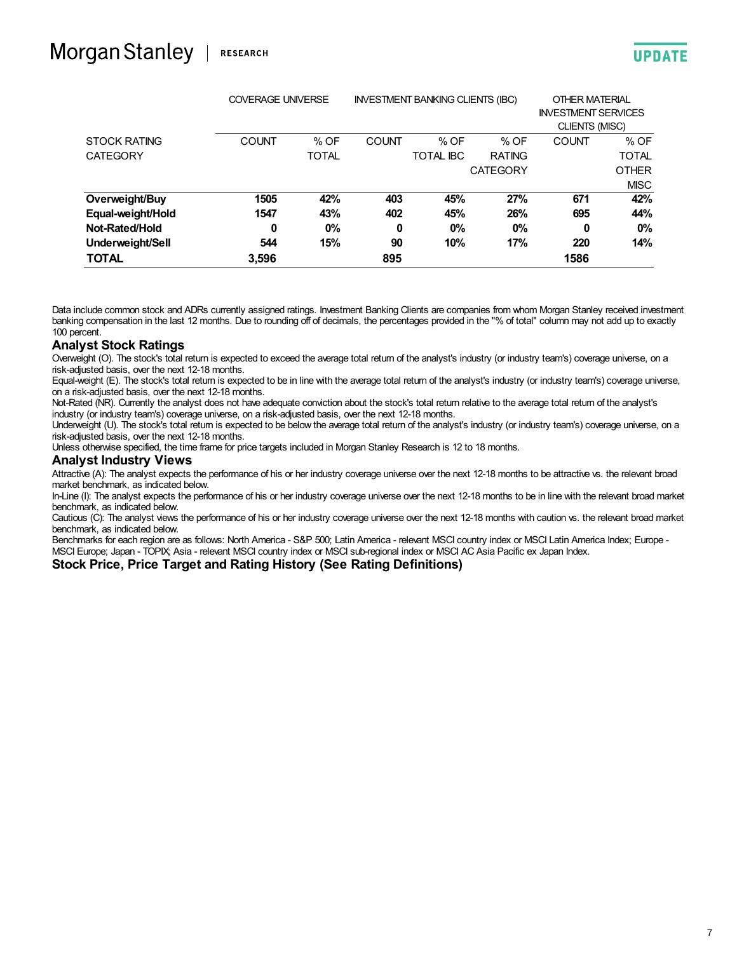|                     | <b>COVERAGE UNIVERSE</b> |              |              | <b>INVESTMENT BANKING CLIENTS (IBC)</b> |                 | OTHER MATERIAL<br><b>INVESTMENT SERVICES</b><br>CLIENTS (MISC) |              |
|---------------------|--------------------------|--------------|--------------|-----------------------------------------|-----------------|----------------------------------------------------------------|--------------|
| <b>STOCK RATING</b> | <b>COUNT</b>             | $%$ OF       | <b>COUNT</b> | $%$ OF                                  | % OF            | <b>COUNT</b>                                                   | $%$ OF       |
| <b>CATEGORY</b>     |                          | <b>TOTAL</b> |              | <b>TOTAL IBC</b>                        | <b>RATING</b>   |                                                                | <b>TOTAL</b> |
|                     |                          |              |              |                                         | <b>CATEGORY</b> |                                                                | <b>OTHER</b> |
|                     |                          |              |              |                                         |                 |                                                                | <b>MISC</b>  |
| Overweight/Buy      | 1505                     | 42%          | 403          | 45%                                     | 27%             | 671                                                            | 42%          |
| Equal-weight/Hold   | 1547                     | 43%          | 402          | 45%                                     | 26%             | 695                                                            | 44%          |
| Not-Rated/Hold      | 0                        | 0%           | 0            | $0\%$                                   | $0\%$           | 0                                                              | $0\%$        |
| Underweight/Sell    | 544                      | 15%          | 90           | 10%                                     | 17%             | 220                                                            | 14%          |
| <b>TOTAL</b>        | 3,596                    |              | 895          |                                         |                 | 1586                                                           |              |

Data include common stock and ADRs currently assigned ratings. Investment Banking Clients are companies from whom Morgan Stanley received investment banking compensation in the last 12 months. Due to rounding off of decimals, the percentages provided in the "% of total" column may not add up to exactly 100 percent.

## **Analyst Stock Ratings**

Overweight (O). The stock's total return is expected to exceed the average total return of the analyst's industry (or industry team's) coverage universe, on a risk-adjusted basis, over the next 12-18 months.

Equal-weight (E). The stock's total return is expected to be in line with the average total return of the analyst's industry (or industry team's) coverage universe, on a risk-adjusted basis, over the next 12-18 months.

Not-Rated (NR). Currently the analyst does not have adequate conviction about the stock's total return relative to the average total return of the analyst's industry (or industry team's) coverage universe, on a risk-adjusted basis, over the next 12-18 months.

Underweight (U). The stock's total return is expected to be below the average total return of the analyst's industry (or industry team's) coverage universe, on a risk-adjusted basis, over the next 12-18 months.

Unless otherwise specified, the time frame for price targets included in Morgan Stanley Research is 12 to 18 months.

#### **Analyst Industry Views**

Attractive (A): The analyst expects the performance of his or her industry coverage universe over the next 12-18 months to be attractive vs. the relevant broad market benchmark, as indicated below.

In-Line (I): The analyst expects the performance of his or her industry coverage universe over the next 12-18 months to be in line with the relevant broad market benchmark, as indicated below.

Cautious (C): The analyst views the performance of his or her industry coverage universe over the next 12-18 months with caution vs. the relevant broad market benchmark, as indicated below.

Benchmarks for each region are as follows: North America - S&P 500; Latin America - relevant MSCI country index or MSCI Latin America Index; Europe - MSCI Europe; Japan - TOPIX; Asia - relevant MSCI country index or MSCI sub-regional index or MSCI AC Asia Pacific ex Japan Index.

### **Stock Price, Price Target and Rating History (See Rating Definitions)**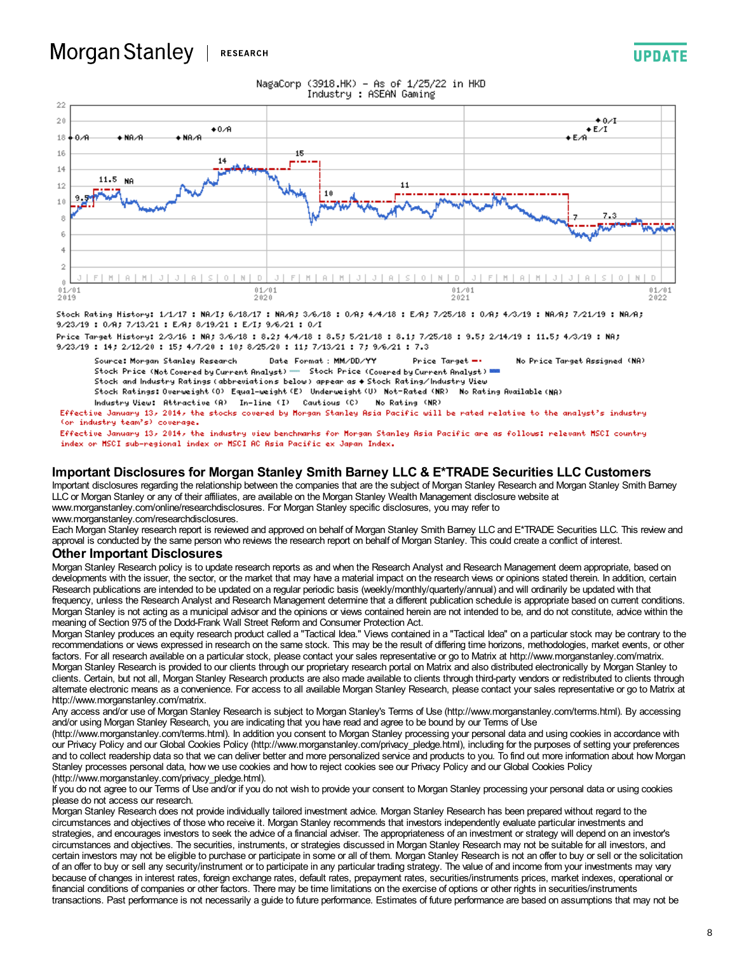#### Morgan Stanley | **RESEARCH**



Stock Rating History: 1/1/17 : NA/I; 6/18/17 : NA/A; 3/6/18 : 0/A; 4/4/18 : E/A; 7/25/18 : 0/A; 4/3/19 : NA/A; 7/21/19 : NA/A; 9/23/19:0/A; 7/13/21:E/A; 8/19/21:E/I; 9/6/21:0/I

Price Target History: 2/3/16 : NA; 3/6/18 : 8.2; 4/4/18 : 8.5; 5/21/18 : 8.1; 7/25/18 : 9.5; 2/14/19 : 11.5; 4/3/19 : NA; 9.23.49: 14; 2.42.20: 15; 4.7.20: 10; 8.25.20: 11; 7.43.21: 7; 9.6.21: 7.3

Date Format: MM/DD/YY Source: Morgan Stanley Research Price Target --No Price Target Assigned (NA) Stock Price (Covered by Current Analyst) WH Stock Price (Not Covered by Current Analyst) =

Stock and Industry Ratings (abbreviations below) appear as  $\bullet$  Stock Rating/Industry View

Stock Ratings: Overweight (O) Equal-weight (E) Underweight (U) Not-Rated (NR) No Rating Available (NA)

Industry View: Attractive (A) In-line (I) Cautious (C) No Rating (NR)

Effective January 13, 2014, the stocks covered by Morgan Stanley Asia Pacific will be rated relative to the analyst's industry (or industry team's) coverage.

Effective January 13, 2014, the industry view benchmarks for Morgan Stanley Asia Pacific are as follows: relevant MSCI country index or MSCI sub-regional index or MSCI AC Asia Pacific ex Japan Index.

### **Important Disclosures for Morgan Stanley Smith Barney LLC & E\*TRADE Securities LLC Customers**

Important disclosures regarding the relationship between the companies that are the subject of Morgan Stanley Research and Morgan Stanley Smith Barney LLC or Morgan Stanley or any of their affiliates, are available on the Morgan Stanley Wealth Management disclosure website at www.morganstanley.com/online/researchdisclosures. For Morgan Stanley specific disclosures, you may refer to

www.morganstanley.com/researchdisclosures.

Each Morgan Stanley research report is reviewed and approved on behalf of Morgan Stanley Smith Barney LLC and E\*TRADE Securities LLC. This review and approval is conducted by the same person who reviews the research report on behalf of Morgan Stanley. This could create a conflict of interest.

#### **Other Important Disclosures**

Morgan Stanley Research policy is to update research reports as and when the Research Analyst and Research Management deem appropriate, based on developments with the issuer, the sector, or the market that may have a material impact on the research views or opinions stated therein. In addition, certain Research publications are intended to be updated on a regular periodic basis (weekly/monthly/quarterly/annual) and will ordinarily be updated with that frequency, unless the Research Analyst and Research Management determine that a different publication schedule is appropriate based on current conditions. Morgan Stanley is not acting as a municipal advisor and the opinions or views contained herein are not intended to be, and do not constitute, advice within the meaning of Section 975 of the Dodd-Frank Wall Street Reform and Consumer Protection Act.

Morgan Stanley produces an equity research product called a "Tactical Idea." Views contained in a "Tactical Idea" on a particular stock may be contrary to the recommendations or views expressed in research on the same stock. This may be the result of differing time horizons, methodologies, market events, or other factors. For all research available on a particular stock, please contact your sales representative or go to Matrix at http://www.morganstanley.com/matrix. Morgan Stanley Research is provided to our clients through our proprietary research portal on Matrix and also distributed electronically by Morgan Stanley to clients. Certain, but not all, Morgan Stanley Research products are also made available to clients through third-party vendors or redistributed to clients through alternate electronic means as a convenience. For access to all available Morgan Stanley Research, please contact your sales representative or go to Matrix at http://www.morganstanley.com/matrix.

Any access and/or use of Morgan Stanley Research is subject to Morgan Stanley's Terms of Use (http://www.morganstanley.com/terms.html). By accessing and/or using Morgan Stanley Research, you are indicating that you have read and agree to be bound by our Terms of Use

(http://www.morganstanley.com/terms.html). In addition you consent to Morgan Stanley processing your personal data and using cookies in accordance with our Privacy Policy and our Global Cookies Policy (http://www.morganstanley.com/privacy\_pledge.html), including for the purposes of setting your preferences and to collect readership data so that we can deliver better and more personalized service and products to you. To find out more information about how Morgan Stanley processes personal data, how we use cookies and how to reject cookies see our Privacy Policy and our Global Cookies Policy (http://www.morganstanley.com/privacy\_pledge.html).

If you do not agree to our Terms of Use and/or if you do not wish to provide your consent to Morgan Stanley processing your personal data or using cookies please do not access our research.

Morgan Stanley Research does not provide individually tailored investment advice. Morgan Stanley Research has been prepared without regard to the circumstances and objectives of those who receive it. Morgan Stanley recommends that investors independently evaluate particular investments and strategies, and encourages investors to seek the advice of a financial adviser. The appropriateness of an investment or strategy will depend on an investor's circumstances and objectives. The securities, instruments, or strategies discussed in Morgan Stanley Research may not be suitable for all investors, and certain investors may not be eligible to purchase or participate in some or all of them. Morgan Stanley Research is not an offer to buy or sell or the solicitation of an offer to buy or sell any security/instrument or to participate in any particular trading strategy. The value of and income from your investments may vary because of changes in interest rates, foreign exchange rates, default rates, prepayment rates, securities/instruments prices, market indexes, operational or financial conditions of companies or other factors. There may be time limitations on the exercise of options or other rights in securities/instruments transactions. Past performance is not necessarily a guide to future performance. Estimates of future performance are based on assumptions that may not be

**UPDATE**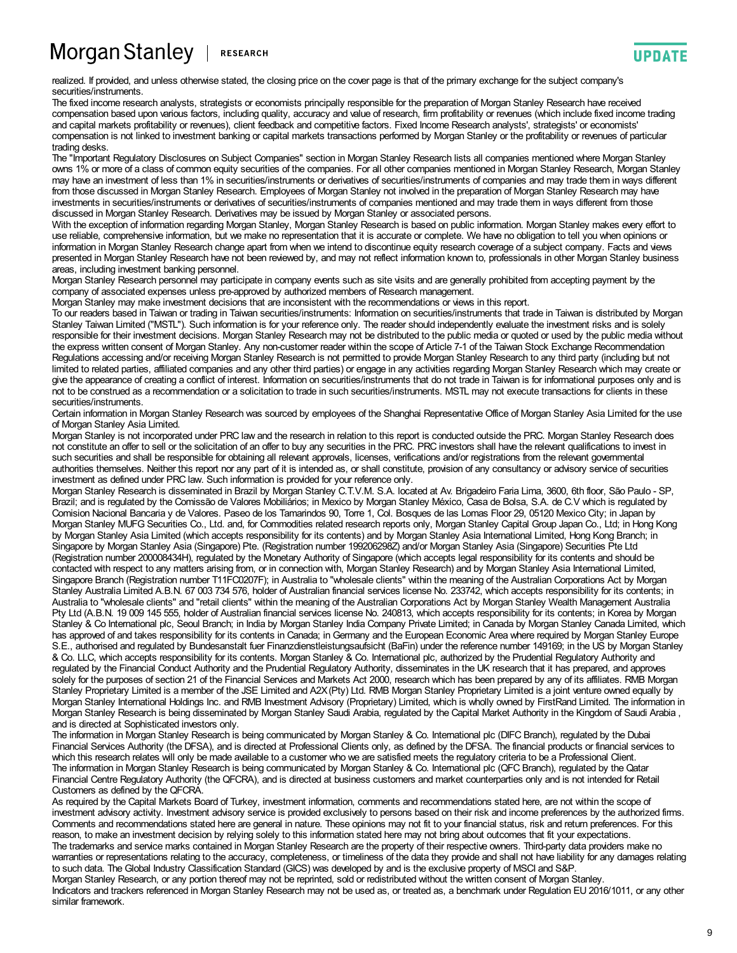#### Morgan Stanley **RESEARCH**

realized. If provided, and unless otherwise stated, the closing price on the cover page is that of the primary exchange for the subject company's securities/instruments.

The fixed income research analysts, strategists or economists principally responsible for the preparation of Morgan Stanley Research have received compensation based upon various factors, including quality, accuracy and value of research, firm profitability or revenues (which include fixed income trading and capital markets profitability or revenues), client feedback and competitive factors. Fixed Income Research analysts', strategists' or economists' compensation is not linked to investment banking or capital markets transactions performed by Morgan Stanley or the profitability or revenues of particular trading desks.

The "Important Regulatory Disclosures on Subject Companies" section in Morgan Stanley Research lists all companies mentioned where Morgan Stanley owns 1% or more of a class of common equity securities of the companies. For all other companies mentioned in Morgan Stanley Research, Morgan Stanley may have an investment of less than 1% in securities/instruments or derivatives of securities/instruments of companies and may trade them in ways different from those discussed in Morgan Stanley Research. Employees of Morgan Stanley not involved in the preparation of Morgan Stanley Research may have investments in securities/instruments or derivatives of securities/instruments of companies mentioned and may trade them in ways different from those<br>discussed in Morgan Stanley Research. Derivatives may be issued by Morga

With the exception of information regarding Morgan Stanley, Morgan Stanley Research is based on public information. Morgan Stanley makes every effort to use reliable, comprehensive information, but we make no representation that it is accurate or complete. We have no obligation to tell you when opinions or information in Morgan Stanley Research change apart from when we intend to discontinue equity research coverage of a subject company. Facts and views presented in Morgan Stanley Research have not been reviewed by, and may not reflect information known to, professionals in other Morgan Stanley business areas, including investment banking personnel.

Morgan Stanley Research personnel may participate in company events such as site visits and are generally prohibited from accepting payment by the company of associated expenses unless pre-approved by authorized members of Research management.

Morgan Stanley may make investment decisions that are inconsistent with the recommendations or views in this report.

To our readers based in Taiwan or trading in Taiwan securities/instruments: Information on securities/instruments that trade in Taiwan is distributed by Morgan Stanley Taiwan Limited ("MSTL"). Such information is for your reference only. The reader should independently evaluate the investment risks and is solely responsible for their investment decisions. Morgan Stanley Research may not be distributed to the public media or quoted or used by the public media without the express written consent of Morgan Stanley. Any non-customer reader within the scope of Article 7-1 of the Taiwan Stock Exchange Recommendation Regulations accessing and/or receiving Morgan Stanley Research is not permitted to provide Morgan Stanley Research to any third party (including but not limited to related parties, affiliated companies and any other third parties) or engage in any activities regarding Morgan Stanley Research which may create or give the appearance of creating a conflict of interest. Information on securities/instruments that do not trade in Taiwan is for informational purposes only and is not to be construed as a recommendation or a solicitation to trade in such securities/instruments. MSTL may not execute transactions for clients in these securities/instruments.

Certain information in Morgan Stanley Research was sourced by employees of the Shanghai Representative Office of Morgan Stanley Asia Limited for the use of Morgan Stanley Asia Limited.

Morgan Stanley is not incorporated under PRC law and the research in relation to this report is conducted outside the PRC. Morgan Stanley Research does not constitute an offer to sell or the solicitation of an offer to buy any securities in the PRC. PRC investors shall have the relevant qualifications to invest in such securities and shall be responsible for obtaining all relevant approvals, licenses, verifications and/or registrations from the relevant governmental authorities themselves. Neither this report nor any part of it is intended as, or shall constitute, provision of any consultancy or advisory service of securities investment as defined under PRC law. Such information is provided for your reference only.

Morgan Stanley Research is disseminated in Brazil by Morgan Stanley C.T.V.M. S.A. located at Av. Brigadeiro Faria Lima, 3600, 6th floor, São Paulo - SP, Brazil; and is regulated by the Comissão de Valores Mobiliários; in Mexico by Morgan Stanley México, Casa de Bolsa, S.A. de C.V which is regulated by Comision Nacional Bancaria y de Valores. Paseo de los Tamarindos 90, Torre 1, Col. Bosques de las Lomas Floor 29, 05120 Mexico City; in Japan by Morgan Stanley MUFG Securities Co., Ltd. and, for Commodities related research reports only, Morgan Stanley Capital Group Japan Co., Ltd; in Hong Kong by Morgan Stanley Asia Limited (which accepts responsibility for its contents) and by Morgan Stanley Asia International Limited, Hong Kong Branch; in Singapore by Morgan Stanley Asia (Singapore) Pte. (Registration number 199206298Z) and/or Morgan Stanley Asia (Singapore) Securities Pte Ltd (Registration number 200008434H), regulated by the Monetary Authority of Singapore (which accepts legal responsibility for its contents and should be contacted with respect to any matters arising from, or in connection with, Morgan Stanley Research) and by Morgan Stanley Asia International Limited, Singapore Branch (Registration number T11FC0207F); in Australia to "wholesale clients" within the meaning of the Australian Corporations Act by Morgan Stanley Australia Limited A.B.N. 67 003 734 576, holder of Australian financial services license No. 233742, which accepts responsibility for its contents; in Australia to "wholesale clients" and "retail clients" within the meaning of the Australian Corporations Act by Morgan Stanley Wealth Management Australia Pty Ltd (A.B.N. 19 009 145 555, holder of Australian financial services license No. 240813, which accepts responsibility for its contents; in Korea by Morgan Stanley & Co International plc, Seoul Branch; in India by Morgan Stanley India Company Private Limited; in Canada by Morgan Stanley Canada Limited, which has approved of and takes responsibility for its contents in Canada; in Germany and the European Economic Area where required by Morgan Stanley Europe S.E., authorised and regulated by Bundesanstalt fuer Finanzdienstleistungsaufsicht (BaFin) under the reference number 149169; in the US by Morgan Stanley & Co. LLC, which accepts responsibility for its contents. Morgan Stanley & Co. International plc, authorized by the Prudential Regulatory Authority and regulated by the Financial Conduct Authority and the Prudential Regulatory Authority, disseminates in the UK research that it has prepared, and approves solely for the purposes of section 21 of the Financial Services and Markets Act 2000, research which has been prepared by any of its affiliates. RMB Morgan Stanley Proprietary Limited is a member of the JSE Limited and A2X(Pty) Ltd. RMB Morgan Stanley Proprietary Limited is a joint venture owned equally by Morgan Stanley International Holdings Inc. and RMB Investment Advisory (Proprietary) Limited, which is wholly owned by FirstRand Limited. The information in Morgan Stanley Research is being disseminated by Morgan Stanley Saudi Arabia, regulated by the Capital Market Authority in the Kingdom of Saudi Arabia , and is directed at Sophisticated investors only.

The information in Morgan Stanley Research is being communicated by Morgan Stanley & Co. International plc (DIFC Branch), regulated by the Dubai Financial Services Authority (the DFSA), and is directed at Professional Clients only, as defined by the DFSA. The financial products or financial services to which this research relates will only be made available to a customer who we are satisfied meets the regulatory criteria to be a Professional Client. The information in Morgan Stanley Research is being communicated by Morgan Stanley & Co. International plc (QFC Branch), regulated by the Qatar Financial Centre Regulatory Authority (the QFCRA), and is directed at business customers and market counterparties only and is not intended for Retail Customers as defined by the QFCRA.

As required by the Capital Markets Board of Turkey, investment information, comments and recommendations stated here, are not within the scope of investment advisory activity. Investment advisory service is provided exclusively to persons based on their risk and income preferences by the authorized firms. Comments and recommendations stated here are general in nature. These opinions may not fit to your financial status, risk and return preferences. For this reason, to make an investment decision by relying solely to this information stated here may not bring about outcomes that fit your expectations. The trademarks and service marks contained in Morgan Stanley Research are the property of their respective owners. Third-party data providers make no warranties or representations relating to the accuracy, completeness, or timeliness of the data they provide and shall not have liability for any damages relating to such data. The Global Industry Classification Standard (GICS) was developed by and is the exclusive property of MSCI and S&P. Morgan Stanley Research, or any portion thereof may not be reprinted, sold or redistributed without the written consent of Morgan Stanley. Indicators and trackers referenced in Morgan Stanley Research may not be used as, or treated as, a benchmark under Regulation EU 2016/1011, or any other similar framework.

**UPDATE**